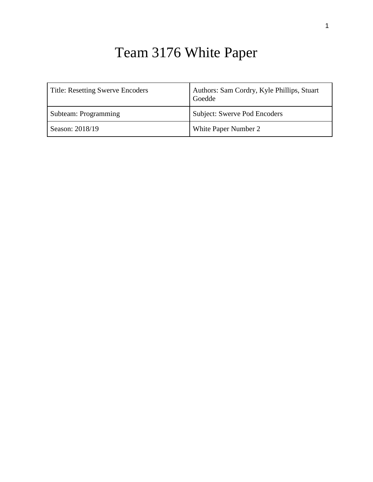# Team 3176 White Paper

| <b>Title: Resetting Swerve Encoders</b> | Authors: Sam Cordry, Kyle Phillips, Stuart<br>Goedde |
|-----------------------------------------|------------------------------------------------------|
| Subteam: Programming                    | <b>Subject: Swerve Pod Encoders</b>                  |
| Season: 2018/19                         | White Paper Number 2                                 |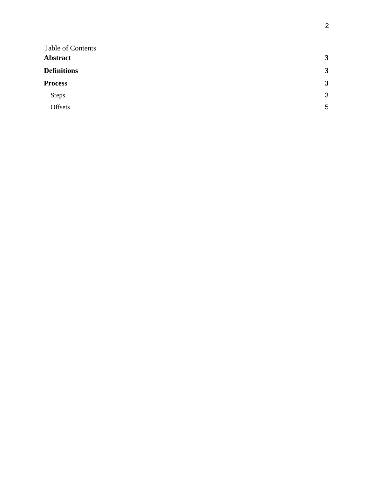| 3                       |
|-------------------------|
| $\overline{\mathbf{3}}$ |
| $\mathbf{3}$            |
| 3                       |
| 5                       |
|                         |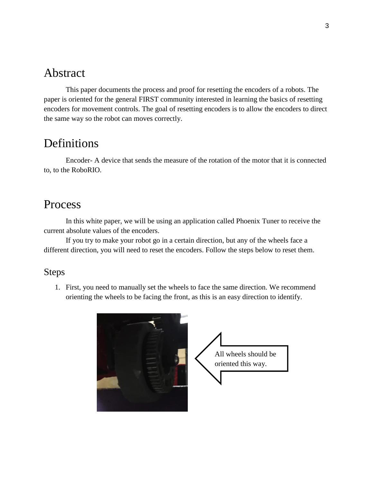### <span id="page-2-0"></span>Abstract

This paper documents the process and proof for resetting the encoders of a robots. The paper is oriented for the general FIRST community interested in learning the basics of resetting encoders for movement controls. The goal of resetting encoders is to allow the encoders to direct the same way so the robot can moves correctly.

### <span id="page-2-1"></span>**Definitions**

Encoder- A device that sends the measure of the rotation of the motor that it is connected to, to the RoboRIO.

## <span id="page-2-2"></span>Process

In this white paper, we will be using an application called Phoenix Tuner to receive the current absolute values of the encoders.

If you try to make your robot go in a certain direction, but any of the wheels face a different direction, you will need to reset the encoders. Follow the steps below to reset them.

#### <span id="page-2-3"></span>Steps

1. First, you need to manually set the wheels to face the same direction. We recommend orienting the wheels to be facing the front, as this is an easy direction to identify.

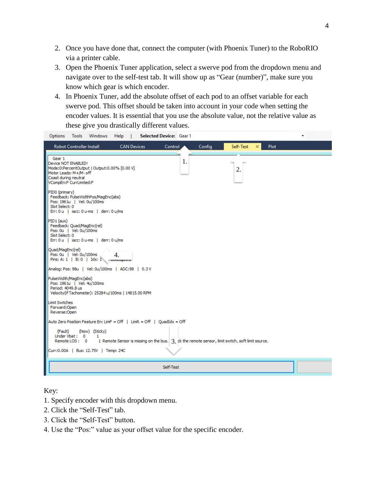- 2. Once you have done that, connect the computer (with Phoenix Tuner) to the RoboRIO via a printer cable.
- 3. Open the Phoenix Tuner application, select a swerve pod from the dropdown menu and navigate over to the self-test tab. It will show up as "Gear (number)", make sure you know which gear is which encoder.
- 4. In Phoenix Tuner, add the absolute offset of each pod to an offset variable for each swerve pod. This offset should be taken into account in your code when setting the encoder values. It is essential that you use the absolute value, not the relative value as these give you drastically different values.

| Windows<br>Tools<br>Options                                                                                                                                | Help                               | Selected Device: Gear 1                                                                            |                  |             | $\overline{\phantom{a}}$ |
|------------------------------------------------------------------------------------------------------------------------------------------------------------|------------------------------------|----------------------------------------------------------------------------------------------------|------------------|-------------|--------------------------|
| <b>Robot Controller Install</b>                                                                                                                            | <b>CAN Devices</b>                 | Config<br>Control                                                                                  | Self-Test        | <b>Plot</b> |                          |
| Gear 1<br>Device NOT ENABLED!<br>Mode:0:PercentOutput   Output:0.00% [0.00 V]<br>Motor Leads: M+/M- off<br>Coast during neutral<br>VCompEn:F CurrLimited:F |                                    | 1.                                                                                                 | $\overline{2}$ . |             |                          |
| PID0 (primary)<br>Feedback: PulseWidthPos/MagEnc(abs)<br>Pos: 1961u   Vel: 0u/100ms<br>Slot Select: 0<br>Err: 0 u   iacc: 0 u-ms   derr: 0 u/ms            |                                    |                                                                                                    |                  |             |                          |
| PID1 (aux)<br>Feedback: Quad/MagEnc(rel)<br>Pos: 0u   Vel: 0u/100ms<br>Slot Select: 0<br>Err: 0 u   iacc: 0 u-ms   derr: 0 u/ms                            |                                    |                                                                                                    |                  |             |                          |
| Quad/MagEnc(rel)<br>Pos: 0u   Vel: 0u/100ms<br>Pins: A: 1   B: 0   Idx: 1                                                                                  | 4.<br><b>LUALUYCO<sub>1</sub>4</b> |                                                                                                    |                  |             |                          |
| Analog: Pos: 98u   Vel: 0u/100ms   ADC:98   0.3 V                                                                                                          |                                    |                                                                                                    |                  |             |                          |
| PulseWidth/MagEnc(abs)<br>Pos: 1961u   Vel: 4u/100ms<br>Period: 4049.8 us<br>Velocity(if Tachometer): 25284 u/100ms   14815.00 RPM                         |                                    |                                                                                                    |                  |             |                          |
| <b>Limit Switches</b><br>Forward:Open<br>Reverse:Open                                                                                                      |                                    |                                                                                                    |                  |             |                          |
| Auto Zero Position Feature En: LimF = Off   LimR = Off   QuadIdx = Off                                                                                     |                                    |                                                                                                    |                  |             |                          |
| (Fault)<br>(Now) (Sticky)<br>Under Vbat: 0<br>1<br>Remote LOS: 0                                                                                           |                                    | 1 Remote Sensor is missing on the bus. $3.$ ck the remote sensor, limit switch, soft limit source. |                  |             |                          |
| Curr:0.00A   Bus: 12.75V   Temp: 24C                                                                                                                       |                                    |                                                                                                    |                  |             |                          |
|                                                                                                                                                            |                                    | Self-Test                                                                                          |                  |             |                          |

Key:

- 1. Specify encoder with this dropdown menu.
- 2. Click the "Self-Test" tab.
- 3. Click the "Self-Test" button.
- 4. Use the "Pos:" value as your offset value for the specific encoder.